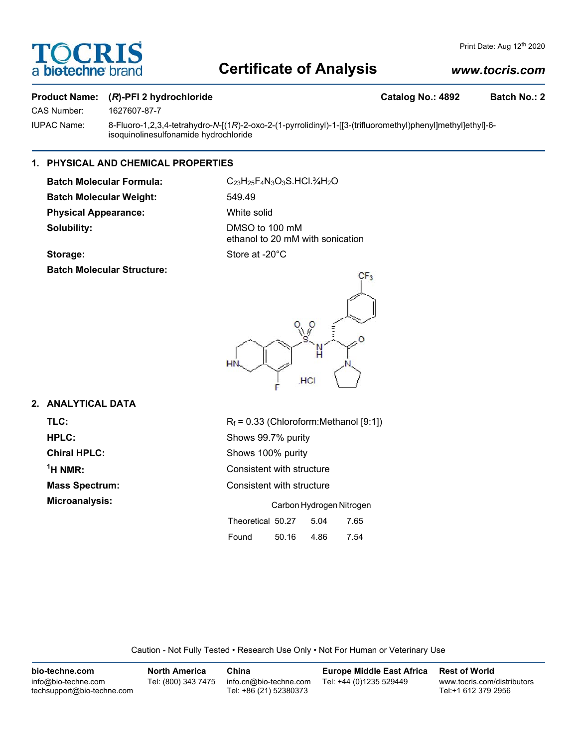

# **Certificate of Analysis**

# *www.tocris.com*

# **Product Name:** (*R*)-PFI 2 hydrochloride Catalog No.: 4892 Batch No.: 2

CAS Number: 1627607-87-7

IUPAC Name: 8-Fluoro-1,2,3,4-tetrahydro-*N*-[(1*R*)-2-oxo-2-(1-pyrrolidinyl)-1-[[3-(trifluoromethyl)phenyl]methyl]ethyl]-6-

# **1. PHYSICAL AND CHEMICAL PROPERTIES**

isoquinolinesulfonamide hydrochloride

Batch Molecular Formula: C<sub>23</sub>H<sub>25</sub>F<sub>4</sub>N<sub>3</sub>O<sub>3</sub>S.HCl.<sup>3</sup>/<sub>4</sub>H<sub>2</sub>O **Batch Molecular Weight:** 549.49 **Physical Appearance:** White solid **Solubility:** DMSO to 100 mM

ethanol to 20 mM with sonication Storage: Store at -20°C

**Batch Molecular Structure:**



# **2. ANALYTICAL DATA**

 $<sup>1</sup>H NMR$ :</sup>

**TLC:**  $R_f = 0.33$  (Chloroform:Methanol [9:1]) **HPLC:** Shows 99.7% purity **Chiral HPLC:** Shows 100% purity **Consistent with structure Mass Spectrum:** Consistent with structure **Microanalysis:** Carbon Hydrogen Nitrogen Theoretical 50.27 5.04 7.65 Found 50.16 4.86 7.54

Caution - Not Fully Tested • Research Use Only • Not For Human or Veterinary Use

| bio-techne.com                                    | <b>North America</b> | China                                            | <b>Europe Middle East Africa</b> | <b>Rest of World</b>                               |
|---------------------------------------------------|----------------------|--------------------------------------------------|----------------------------------|----------------------------------------------------|
| info@bio-techne.com<br>techsupport@bio-techne.com | Tel: (800) 343 7475  | info.cn@bio-techne.com<br>Tel: +86 (21) 52380373 | Tel: +44 (0)1235 529449          | www.tocris.com/distributors<br>Tel:+1 612 379 2956 |